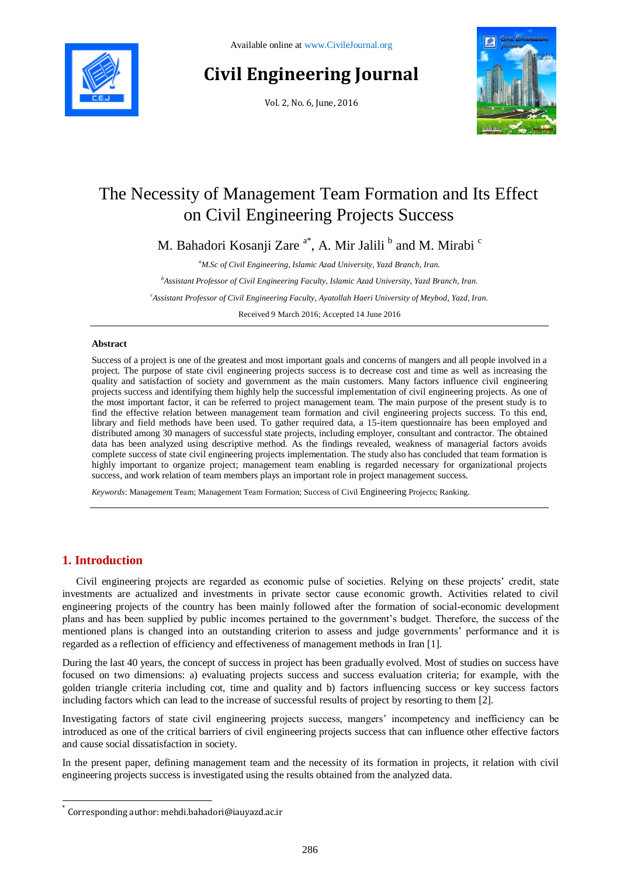

# **Civil Engineering Journal**

Vol. 2, No. 6, June, 2016



# The Necessity of Management Team Formation and Its Effect on Civil Engineering Projects Success

M. Bahadori Kosanji Zare <sup>a\*</sup>, A. Mir Jalili <sup>b</sup> and M. Mirabi <sup>c</sup>

*<sup>a</sup>M.Sc of Civil Engineering, Islamic Azad University, Yazd Branch, Iran.*

*<sup>b</sup>Assistant Professor of Civil Engineering Faculty, Islamic Azad University, Yazd Branch, Iran.*

*<sup>c</sup>Assistant Professor of Civil Engineering Faculty, Ayatollah Haeri University of Meybod, Yazd, Iran.*

Received 9 March 2016; Accepted 14 June 2016

#### **Abstract**

Success of a project is one of the greatest and most important goals and concerns of mangers and all people involved in a project. The purpose of state civil engineering projects success is to decrease cost and time as well as increasing the quality and satisfaction of society and government as the main customers. Many factors influence civil engineering projects success and identifying them highly help the successful implementation of civil engineering projects. As one of the most important factor, it can be referred to project management team. The main purpose of the present study is to find the effective relation between management team formation and civil engineering projects success. To this end, library and field methods have been used. To gather required data, a 15-item questionnaire has been employed and distributed among 30 managers of successful state projects, including employer, consultant and contractor. The obtained data has been analyzed using descriptive method. As the findings revealed, weakness of managerial factors avoids complete success of state civil engineering projects implementation. The study also has concluded that team formation is highly important to organize project; management team enabling is regarded necessary for organizational projects success, and work relation of team members plays an important role in project management success.

*Keywords*: Management Team; Management Team Formation; Success of Civil Engineering Projects; Ranking.

# **1. Introduction**

l

Civil engineering projects are regarded as economic pulse of societies. Relying on these projects' credit, state investments are actualized and investments in private sector cause economic growth. Activities related to civil engineering projects of the country has been mainly followed after the formation of social-economic development plans and has been supplied by public incomes pertained to the government's budget. Therefore, the success of the mentioned plans is changed into an outstanding criterion to assess and judge governments' performance and it is regarded as a reflection of efficiency and effectiveness of management methods in Iran [1].

During the last 40 years, the concept of success in project has been gradually evolved. Most of studies on success have focused on two dimensions: a) evaluating projects success and success evaluation criteria; for example, with the golden triangle criteria including cot, time and quality and b) factors influencing success or key success factors including factors which can lead to the increase of successful results of project by resorting to them [2].

Investigating factors of state civil engineering projects success, mangers' incompetency and inefficiency can be introduced as one of the critical barriers of civil engineering projects success that can influence other effective factors and cause social dissatisfaction in society.

In the present paper, defining management team and the necessity of its formation in projects, it relation with civil engineering projects success is investigated using the results obtained from the analyzed data.

<sup>\*</sup> Corresponding author: mehdi.bahadori@iauyazd.ac.ir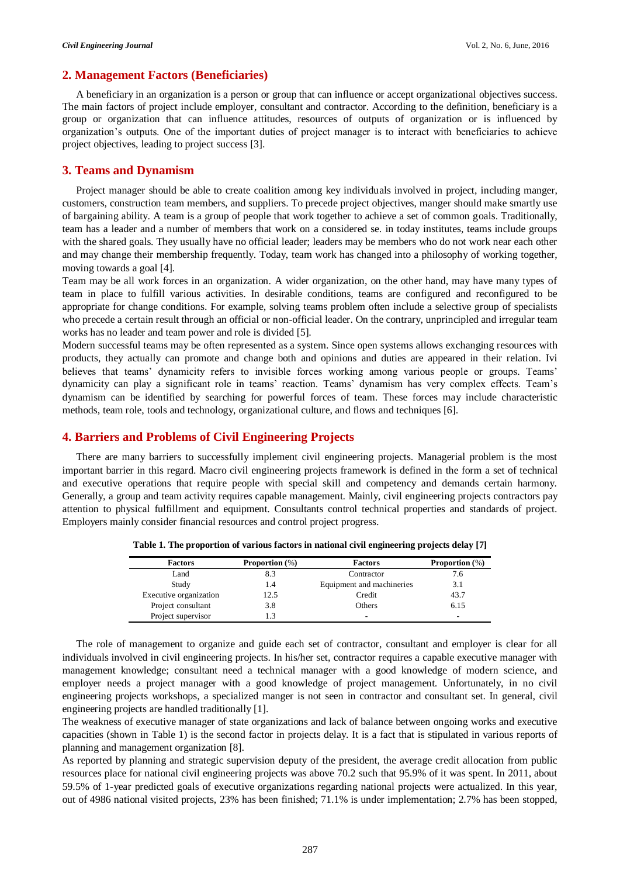# **2. Management Factors (Beneficiaries)**

A beneficiary in an organization is a person or group that can influence or accept organizational objectives success. The main factors of project include employer, consultant and contractor. According to the definition, beneficiary is a group or organization that can influence attitudes, resources of outputs of organization or is influenced by organization's outputs. One of the important duties of project manager is to interact with beneficiaries to achieve project objectives, leading to project success [3].

# **3. Teams and Dynamism**

Project manager should be able to create coalition among key individuals involved in project, including manger, customers, construction team members, and suppliers. To precede project objectives, manger should make smartly use of bargaining ability. A team is a group of people that work together to achieve a set of common goals. Traditionally, team has a leader and a number of members that work on a considered se. in today institutes, teams include groups with the shared goals. They usually have no official leader; leaders may be members who do not work near each other and may change their membership frequently. Today, team work has changed into a philosophy of working together, moving towards a goal [4].

Team may be all work forces in an organization. A wider organization, on the other hand, may have many types of team in place to fulfill various activities. In desirable conditions, teams are configured and reconfigured to be appropriate for change conditions. For example, solving teams problem often include a selective group of specialists who precede a certain result through an official or non-official leader. On the contrary, unprincipled and irregular team works has no leader and team power and role is divided [5].

Modern successful teams may be often represented as a system. Since open systems allows exchanging resources with products, they actually can promote and change both and opinions and duties are appeared in their relation. Ivi believes that teams' dynamicity refers to invisible forces working among various people or groups. Teams' dynamicity can play a significant role in teams' reaction. Teams' dynamism has very complex effects. Team's dynamism can be identified by searching for powerful forces of team. These forces may include characteristic methods, team role, tools and technology, organizational culture, and flows and techniques [6].

# **4. Barriers and Problems of Civil Engineering Projects**

There are many barriers to successfully implement civil engineering projects. Managerial problem is the most important barrier in this regard. Macro civil engineering projects framework is defined in the form a set of technical and executive operations that require people with special skill and competency and demands certain harmony. Generally, a group and team activity requires capable management. Mainly, civil engineering projects contractors pay attention to physical fulfillment and equipment. Consultants control technical properties and standards of project. Employers mainly consider financial resources and control project progress.

| <b>Factors</b>         | <b>Proportion</b> $(\%)$ | <b>Factors</b>            | <b>Proportion</b> $(\%)$ |
|------------------------|--------------------------|---------------------------|--------------------------|
| Land                   | 8.3                      | Contractor                | 7.6                      |
| Study                  | 1.4                      | Equipment and machineries | 3.1                      |
| Executive organization | 12.5                     | Credit                    | 43.7                     |
| Project consultant     | 3.8                      | Others                    | 6.15                     |
| Project supervisor     |                          | -                         | -                        |

**Table 1. The proportion of various factors in national civil engineering projects delay [7]**

The role of management to organize and guide each set of contractor, consultant and employer is clear for all individuals involved in civil engineering projects. In his/her set, contractor requires a capable executive manager with management knowledge; consultant need a technical manager with a good knowledge of modern science, and employer needs a project manager with a good knowledge of project management. Unfortunately, in no civil engineering projects workshops, a specialized manger is not seen in contractor and consultant set. In general, civil engineering projects are handled traditionally [1].

The weakness of executive manager of state organizations and lack of balance between ongoing works and executive capacities (shown in Table 1) is the second factor in projects delay. It is a fact that is stipulated in various reports of planning and management organization [8].

As reported by planning and strategic supervision deputy of the president, the average credit allocation from public resources place for national civil engineering projects was above 70.2 such that 95.9% of it was spent. In 2011, about 59.5% of 1-year predicted goals of executive organizations regarding national projects were actualized. In this year, out of 4986 national visited projects, 23% has been finished; 71.1% is under implementation; 2.7% has been stopped,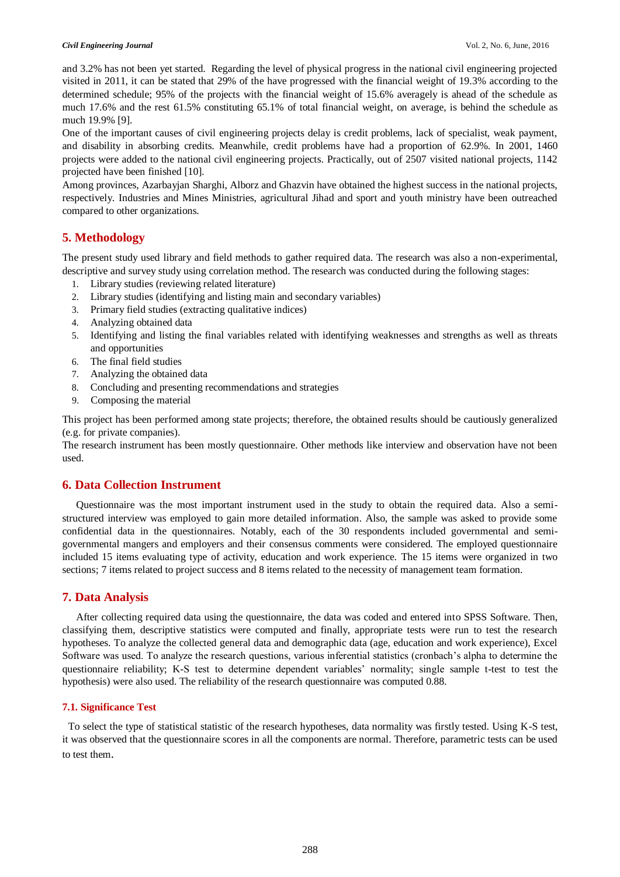#### *Civil Engineering Journal* Vol. 2, No. 6, June, 2016

and 3.2% has not been yet started. Regarding the level of physical progress in the national civil engineering projected visited in 2011, it can be stated that 29% of the have progressed with the financial weight of 19.3% according to the determined schedule; 95% of the projects with the financial weight of 15.6% averagely is ahead of the schedule as much 17.6% and the rest 61.5% constituting 65.1% of total financial weight, on average, is behind the schedule as much 19.9% [9].

One of the important causes of civil engineering projects delay is credit problems, lack of specialist, weak payment, and disability in absorbing credits. Meanwhile, credit problems have had a proportion of 62.9%. In 2001, 1460 projects were added to the national civil engineering projects. Practically, out of 2507 visited national projects, 1142 projected have been finished [10].

Among provinces, Azarbayjan Sharghi, Alborz and Ghazvin have obtained the highest success in the national projects, respectively. Industries and Mines Ministries, agricultural Jihad and sport and youth ministry have been outreached compared to other organizations.

# **5. Methodology**

The present study used library and field methods to gather required data. The research was also a non-experimental, descriptive and survey study using correlation method. The research was conducted during the following stages:

- 1. Library studies (reviewing related literature)
- 2. Library studies (identifying and listing main and secondary variables)
- 3. Primary field studies (extracting qualitative indices)
- 4. Analyzing obtained data
- 5. Identifying and listing the final variables related with identifying weaknesses and strengths as well as threats and opportunities
- 6. The final field studies
- 7. Analyzing the obtained data
- 8. Concluding and presenting recommendations and strategies
- 9. Composing the material

This project has been performed among state projects; therefore, the obtained results should be cautiously generalized (e.g. for private companies).

The research instrument has been mostly questionnaire. Other methods like interview and observation have not been used.

# **6. Data Collection Instrument**

Questionnaire was the most important instrument used in the study to obtain the required data. Also a semistructured interview was employed to gain more detailed information. Also, the sample was asked to provide some confidential data in the questionnaires. Notably, each of the 30 respondents included governmental and semigovernmental mangers and employers and their consensus comments were considered. The employed questionnaire included 15 items evaluating type of activity, education and work experience. The 15 items were organized in two sections; 7 items related to project success and 8 items related to the necessity of management team formation.

# **7. Data Analysis**

After collecting required data using the questionnaire, the data was coded and entered into SPSS Software. Then, classifying them, descriptive statistics were computed and finally, appropriate tests were run to test the research hypotheses. To analyze the collected general data and demographic data (age, education and work experience), Excel Software was used. To analyze the research questions, various inferential statistics (cronbach's alpha to determine the questionnaire reliability; K-S test to determine dependent variables' normality; single sample t-test to test the hypothesis) were also used. The reliability of the research questionnaire was computed 0.88.

# **7.1. Significance Test**

 To select the type of statistical statistic of the research hypotheses, data normality was firstly tested. Using K-S test, it was observed that the questionnaire scores in all the components are normal. Therefore, parametric tests can be used to test them.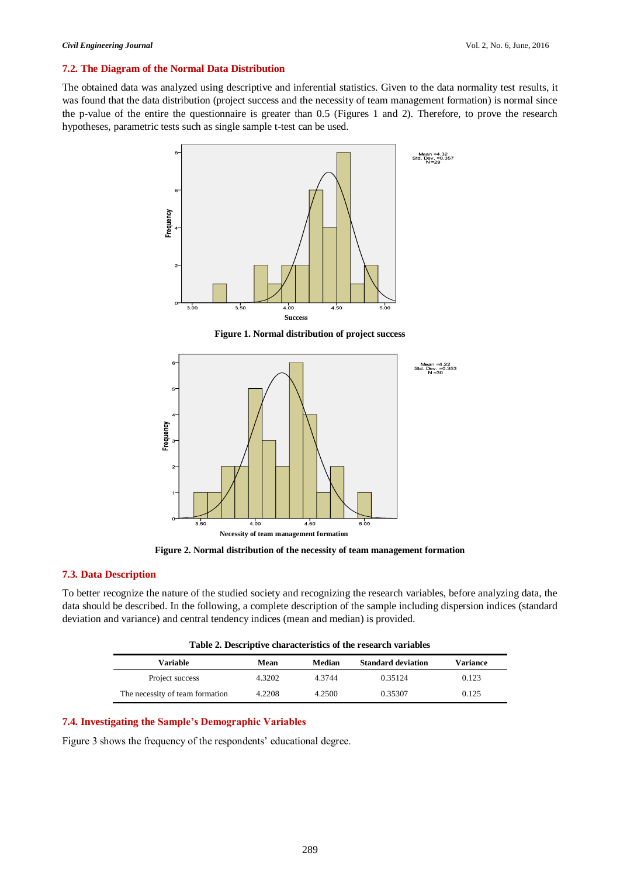#### **7.2. The Diagram of the Normal Data Distribution**

The obtained data was analyzed using descriptive and inferential statistics. Given to the data normality test results, it was found that the data distribution (project success and the necessity of team management formation) is normal since the p-value of the entire the questionnaire is greater than 0.5 (Figures 1 and 2). Therefore, to prove the research hypotheses, parametric tests such as single sample t-test can be used.



**Figure 1. Normal distribution of project success**



**Figure 2. Normal distribution of the necessity of team management formation**

# **7.3. Data Description**

To better recognize the nature of the studied society and recognizing the research variables, before analyzing data, the data should be described. In the following, a complete description of the sample including dispersion indices (standard deviation and variance) and central tendency indices (mean and median) is provided.

| Table 2. Descriptive characteristics of the research variables |  |  |  |  |
|----------------------------------------------------------------|--|--|--|--|
|----------------------------------------------------------------|--|--|--|--|

| Variable                        | Mean   | Median    | <b>Standard deviation</b> | Variance |
|---------------------------------|--------|-----------|---------------------------|----------|
| Project success                 | 4.3202 | 4 3 7 4 4 | 0.35124                   | 0.123    |
| The necessity of team formation | 4.2208 | 4.2500    | 0.35307                   | 0.125    |

# **7.4. Investigating the Sample's Demographic Variables**

Figure 3 shows the frequency of the respondents' educational degree.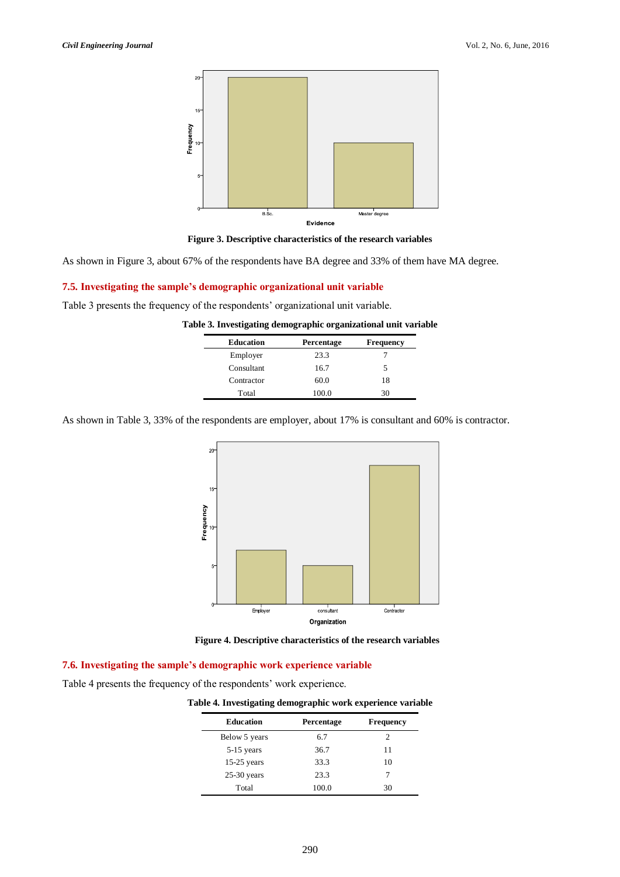



As shown in Figure 3, about 67% of the respondents have BA degree and 33% of them have MA degree.

#### **7.5. Investigating the sample's demographic organizational unit variable**

Table 3 presents the frequency of the respondents' organizational unit variable.

| <b>Education</b> | Percentage | <b>Frequency</b> |
|------------------|------------|------------------|
| Employer         | 23.3       |                  |
| Consultant       | 16.7       |                  |
| Contractor       | 60.0       | 18               |
| Total            | 100.0      |                  |

**Table 3. Investigating demographic organizational unit variable**

As shown in Table 3, 33% of the respondents are employer, about 17% is consultant and 60% is contractor.





#### **7.6. Investigating the sample's demographic work experience variable**

Table 4 presents the frequency of the respondents' work experience.

|  |  |  | Table 4. Investigating demographic work experience variable |  |  |
|--|--|--|-------------------------------------------------------------|--|--|
|  |  |  |                                                             |  |  |

| <b>Education</b> | Percentage | <b>Frequency</b> |
|------------------|------------|------------------|
| Below 5 years    | 6.7        | 2                |
| $5-15$ years     | 36.7       | 11               |
| $15-25$ years    | 33.3       | 10               |
| $25-30$ years    | 23.3       |                  |
| Total            | 100.0      | 30               |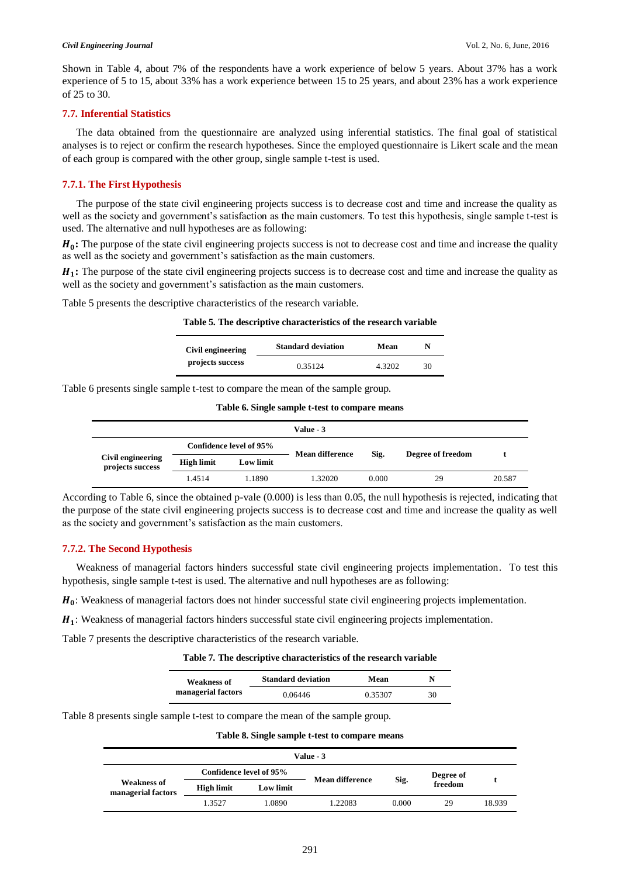Shown in Table 4, about 7% of the respondents have a work experience of below 5 years. About 37% has a work experience of 5 to 15, about 33% has a work experience between 15 to 25 years, and about 23% has a work experience of 25 to 30.

#### **7.7. Inferential Statistics**

The data obtained from the questionnaire are analyzed using inferential statistics. The final goal of statistical analyses is to reject or confirm the research hypotheses. Since the employed questionnaire is Likert scale and the mean of each group is compared with the other group, single sample t-test is used.

#### **7.7.1. The First Hypothesis**

The purpose of the state civil engineering projects success is to decrease cost and time and increase the quality as well as the society and government's satisfaction as the main customers. To test this hypothesis, single sample t-test is used. The alternative and null hypotheses are as following:

 $H_0$ : The purpose of the state civil engineering projects success is not to decrease cost and time and increase the quality as well as the society and government's satisfaction as the main customers.

 $H_1$ : The purpose of the state civil engineering projects success is to decrease cost and time and increase the quality as well as the society and government's satisfaction as the main customers.

Table 5 presents the descriptive characteristics of the research variable.

|  |  |  | Table 5. The descriptive characteristics of the research variable |  |  |
|--|--|--|-------------------------------------------------------------------|--|--|
|  |  |  |                                                                   |  |  |

| Civil engineering | <b>Standard deviation</b> | Mean   | N  |
|-------------------|---------------------------|--------|----|
| projects success  | 0.35124                   | 4.3202 | 30 |

Table 6 presents single sample t-test to compare the mean of the sample group.

**Table 6. Single sample t-test to compare means**

|                                       |            |                         | Value - 3              |       |                   |        |  |
|---------------------------------------|------------|-------------------------|------------------------|-------|-------------------|--------|--|
|                                       |            | Confidence level of 95% | <b>Mean difference</b> |       |                   |        |  |
| Civil engineering<br>projects success | High limit | Low limit               |                        | Sig.  | Degree of freedom |        |  |
|                                       | 1.4514     | 1.1890                  | 1.32020                | 0.000 | 29                | 20.587 |  |

According to Table 6, since the obtained p-vale (0.000) is less than 0.05, the null hypothesis is rejected, indicating that the purpose of the state civil engineering projects success is to decrease cost and time and increase the quality as well as the society and government's satisfaction as the main customers.

# **7.7.2. The Second Hypothesis**

Weakness of managerial factors hinders successful state civil engineering projects implementation. To test this hypothesis, single sample t-test is used. The alternative and null hypotheses are as following:

 $H_0$ : Weakness of managerial factors does not hinder successful state civil engineering projects implementation.

 $H_1$ : Weakness of managerial factors hinders successful state civil engineering projects implementation.

Table 7 presents the descriptive characteristics of the research variable.

#### **Table 7. The descriptive characteristics of the research variable**

| <b>Weakness of</b> | <b>Standard deviation</b> | Mean    | N  |
|--------------------|---------------------------|---------|----|
| managerial factors | 0.06446                   | 0.35307 | 30 |

Table 8 presents single sample t-test to compare the mean of the sample group.

**Table 8. Single sample t-test to compare means**

|                                          |                         |           | Value - 3       |       |                      |        |
|------------------------------------------|-------------------------|-----------|-----------------|-------|----------------------|--------|
|                                          | Confidence level of 95% |           | Mean difference |       | Degree of<br>freedom |        |
| <b>Weakness of</b><br>managerial factors | High limit              | Low limit |                 | Sig.  |                      |        |
|                                          | 1.3527                  | 1.0890    | 1.22083         | 0.000 | 29                   | 18.939 |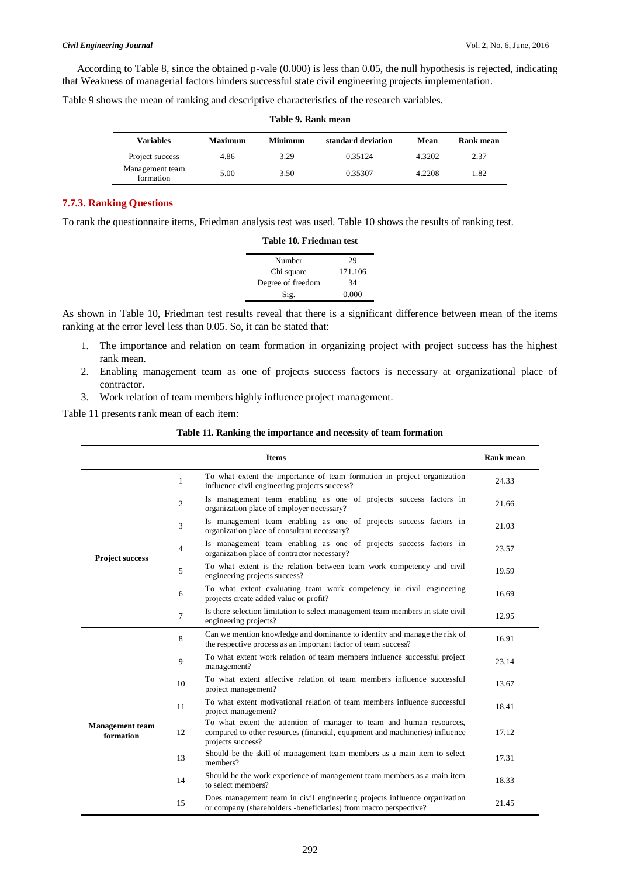According to Table 8, since the obtained p-vale (0.000) is less than 0.05, the null hypothesis is rejected, indicating that Weakness of managerial factors hinders successful state civil engineering projects implementation.

Table 9 shows the mean of ranking and descriptive characteristics of the research variables.

| Variables                    | Maximum | <b>Minimum</b> | standard deviation | Mean   | Rank mean |
|------------------------------|---------|----------------|--------------------|--------|-----------|
| Project success              | 4.86    | 3.29           | 0.35124            | 4.3202 | 2.37      |
| Management team<br>formation | 5.00    | 3.50           | 0.35307            | 4.2208 | 1.82      |

#### **Table 9. Rank mean**

## **7.7.3. Ranking Questions**

To rank the questionnaire items, Friedman analysis test was used. Table 10 shows the results of ranking test.

| Table 10. Friedman test |  |  |  |
|-------------------------|--|--|--|
| 29                      |  |  |  |
| 171.106                 |  |  |  |
| 34                      |  |  |  |
| 0.000                   |  |  |  |
|                         |  |  |  |

As shown in Table 10, Friedman test results reveal that there is a significant difference between mean of the items ranking at the error level less than 0.05. So, it can be stated that:

- 1. The importance and relation on team formation in organizing project with project success has the highest rank mean.
- 2. Enabling management team as one of projects success factors is necessary at organizational place of contractor.
- 3. Work relation of team members highly influence project management.

Table 11 presents rank mean of each item:

#### **Table 11. Ranking the importance and necessity of team formation**

|                                     |                | <b>Items</b>                                                                                                                                                              | <b>Rank mean</b> |
|-------------------------------------|----------------|---------------------------------------------------------------------------------------------------------------------------------------------------------------------------|------------------|
| <b>Project success</b>              | $\mathbf{1}$   | To what extent the importance of team formation in project organization<br>influence civil engineering projects success?                                                  | 24.33            |
|                                     | $\overline{2}$ | Is management team enabling as one of projects success factors in<br>organization place of employer necessary?                                                            | 21.66            |
|                                     | 3              | Is management team enabling as one of projects success factors in<br>organization place of consultant necessary?                                                          | 21.03            |
|                                     | $\overline{4}$ | Is management team enabling as one of projects success factors in<br>organization place of contractor necessary?                                                          | 23.57            |
|                                     | 5              | To what extent is the relation between team work competency and civil<br>engineering projects success?                                                                    | 19.59            |
|                                     | 6              | To what extent evaluating team work competency in civil engineering<br>projects create added value or profit?                                                             | 16.69            |
|                                     | $\overline{7}$ | Is there selection limitation to select management team members in state civil<br>engineering projects?                                                                   | 12.95            |
| <b>Management</b> team<br>formation | 8              | Can we mention knowledge and dominance to identify and manage the risk of<br>the respective process as an important factor of team success?                               | 16.91            |
|                                     | 9              | To what extent work relation of team members influence successful project<br>management?                                                                                  | 23.14            |
|                                     | 10             | To what extent affective relation of team members influence successful<br>project management?                                                                             | 13.67            |
|                                     | 11             | To what extent motivational relation of team members influence successful<br>project management?                                                                          | 18.41            |
|                                     | 12             | To what extent the attention of manager to team and human resources,<br>compared to other resources (financial, equipment and machineries) influence<br>projects success? | 17.12            |
|                                     | 13             | Should be the skill of management team members as a main item to select<br>members?                                                                                       | 17.31            |
|                                     | 14             | Should be the work experience of management team members as a main item<br>to select members?                                                                             | 18.33            |
|                                     | 15             | Does management team in civil engineering projects influence organization<br>or company (shareholders -beneficiaries) from macro perspective?                             | 21.45            |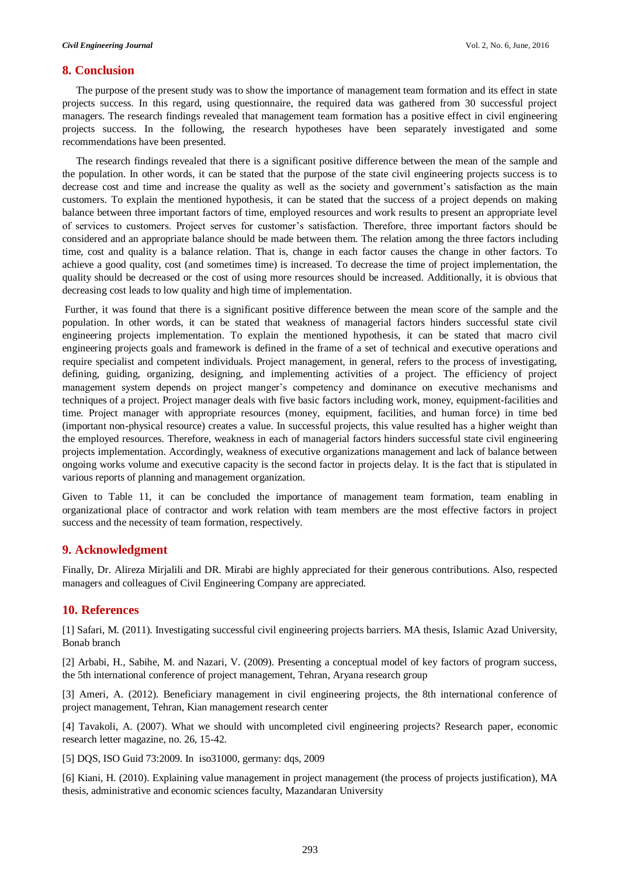#### **8. Conclusion**

The purpose of the present study was to show the importance of management team formation and its effect in state projects success. In this regard, using questionnaire, the required data was gathered from 30 successful project managers. The research findings revealed that management team formation has a positive effect in civil engineering projects success. In the following, the research hypotheses have been separately investigated and some recommendations have been presented.

The research findings revealed that there is a significant positive difference between the mean of the sample and the population. In other words, it can be stated that the purpose of the state civil engineering projects success is to decrease cost and time and increase the quality as well as the society and government's satisfaction as the main customers. To explain the mentioned hypothesis, it can be stated that the success of a project depends on making balance between three important factors of time, employed resources and work results to present an appropriate level of services to customers. Project serves for customer's satisfaction. Therefore, three important factors should be considered and an appropriate balance should be made between them. The relation among the three factors including time, cost and quality is a balance relation. That is, change in each factor causes the change in other factors. To achieve a good quality, cost (and sometimes time) is increased. To decrease the time of project implementation, the quality should be decreased or the cost of using more resources should be increased. Additionally, it is obvious that decreasing cost leads to low quality and high time of implementation.

Further, it was found that there is a significant positive difference between the mean score of the sample and the population. In other words, it can be stated that weakness of managerial factors hinders successful state civil engineering projects implementation. To explain the mentioned hypothesis, it can be stated that macro civil engineering projects goals and framework is defined in the frame of a set of technical and executive operations and require specialist and competent individuals. Project management, in general, refers to the process of investigating, defining, guiding, organizing, designing, and implementing activities of a project. The efficiency of project management system depends on project manger's competency and dominance on executive mechanisms and techniques of a project. Project manager deals with five basic factors including work, money, equipment-facilities and time. Project manager with appropriate resources (money, equipment, facilities, and human force) in time bed (important non-physical resource) creates a value. In successful projects, this value resulted has a higher weight than the employed resources. Therefore, weakness in each of managerial factors hinders successful state civil engineering projects implementation. Accordingly, weakness of executive organizations management and lack of balance between ongoing works volume and executive capacity is the second factor in projects delay. It is the fact that is stipulated in various reports of planning and management organization.

Given to Table 11, it can be concluded the importance of management team formation, team enabling in organizational place of contractor and work relation with team members are the most effective factors in project success and the necessity of team formation, respectively.

# **9. Acknowledgment**

Finally, Dr. Alireza Mirjalili and DR. Mirabi are highly appreciated for their generous contributions. Also, respected managers and colleagues of Civil Engineering Company are appreciated.

# **10. References**

[1] Safari, M. (2011). Investigating successful civil engineering projects barriers. MA thesis, Islamic Azad University, Bonab branch

[2] Arbabi, H., Sabihe, M. and Nazari, V. (2009). Presenting a conceptual model of key factors of program success, the 5th international conference of project management, Tehran, Aryana research group

[3] Ameri, A. (2012). Beneficiary management in civil engineering projects, the 8th international conference of project management, Tehran, Kian management research center

[4] Tavakoli, A. (2007). What we should with uncompleted civil engineering projects? Research paper, economic research letter magazine, no. 26, 15-42.

[5] DQS, ISO Guid 73:2009. In iso31000, germany: dqs, 2009

[6] Kiani, H. (2010). Explaining value management in project management (the process of projects justification), MA thesis, administrative and economic sciences faculty, Mazandaran University